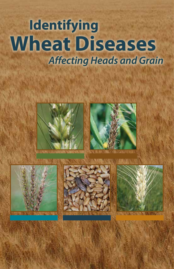# **Identifying Wheat Diseases**   *Affecting Heads and Grain*









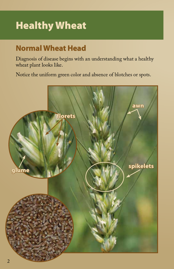# Healthy Wheat

## **Normal Wheat Head**

Diagnosis of disease begins with an understanding what a healthy wheat plant looks like.

Notice the uniform green color and absence of blotches or spots.

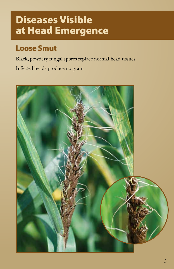# Diseases Visible at Head Emergence

## **Loose Smut**

Black, powdery fungal spores replace normal head tissues.

Infected heads produce no grain.

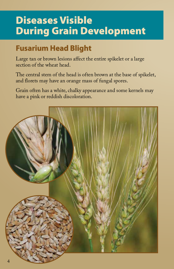# Diseases Visible During Grain Development

## **Fusarium Head Blight**

Large tan or brown lesions affect the entire spikelet or a large section of the wheat head.

The central stem of the head is often brown at the base of spikelet, and florets may have an orange mass of fungal spores.

Grain often has a white, chalky appearance and some kernels may have a pink or reddish discoloration.

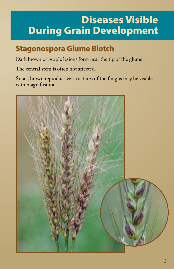# Diseases Visible During Grain Development

## **Stagonospora Glume Blotch**

Dark brown or purple lesions form near the tip of the glume.

The central stem is often not affected.

Small, brown reproductive structures of the fungus may be visible with magnification.

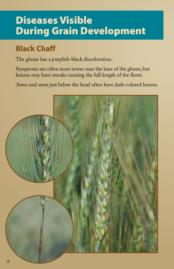# Diseases Visible During Grain Development

## **Black Chaff**

The glume has a purplish-black discoloration.

Symptoms are often most severe near the base of the glume, but lesions may have streaks running the full length of the floret.

Awns and stem just below the head often have dark-colored lesions.

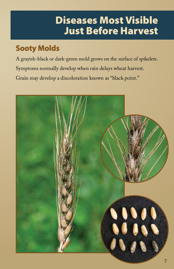# Diseases Most Visible Just Before Harvest

## **Sooty Molds**

A grayish-black or dark-green mold grows on the surface of spikelets. Symptoms normally develop when rain delays wheat harvest. Grain may develop a discoloration known as "black point."

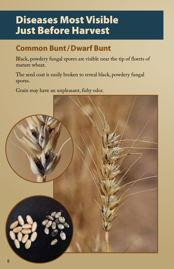## Diseases Most Visible Just Before Harvest

## **Common Bunt/Dwarf Bunt**

Black, powdery fungal spores are visible near the tip of florets of mature wheat.

The seed coat is easily broken to reveal black, powdery fungal spores.

Grain may have an unpleasant, fishy odor.

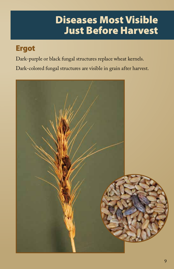## Diseases Most Visible Just Before Harvest

#### **Ergot**

Dark-purple or black fungal structures replace wheat kernels.

Dark-colored fungal structures are visible in grain after harvest.

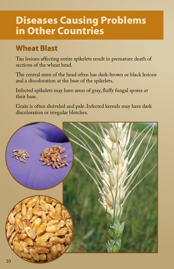## Diseases Causing Problems in Other Countries

#### **Wheat Blast**

Tan lesions affecting entire spikelets result in premature death of sections of the wheat head.

The central stem of the head often has dark-brown or black lesions and a discoloration at the base of the spikelets.

Infected spikelets may have areas of gray, fluffy fungal spores at their base.

Grain is often shriveled and pale. Infected kernels may have dark discoloration or irregular blotches.

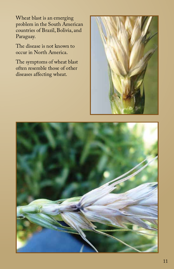Wheat blast is an emerging problem in the South American countries of Brazil, Bolivia, and Paraguay.

The disease is not known to occur in North America.

The symptoms of wheat blast often resemble those of other diseases affecting wheat.